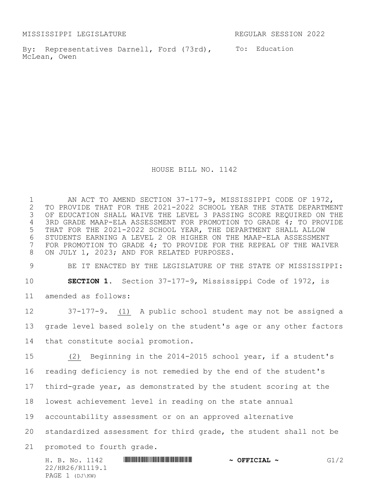MISSISSIPPI LEGISLATURE REGULAR SESSION 2022

By: Representatives Darnell, Ford (73rd), To: Education McLean, Owen

HOUSE BILL NO. 1142

1 AN ACT TO AMEND SECTION 37-177-9, MISSISSIPPI CODE OF 1972,<br>2 TO PROVIDE THAT FOR THE 2021-2022 SCHOOL YEAR THE STATE DEPARTME 2 TO PROVIDE THAT FOR THE 2021-2022 SCHOOL YEAR THE STATE DEPARTMENT<br>3 OF EDUCATION SHALL WAIVE THE LEVEL 3 PASSING SCORE REQUIRED ON THE OF EDUCATION SHALL WAIVE THE LEVEL 3 PASSING SCORE REQUIRED ON THE 3RD GRADE MAAP-ELA ASSESSMENT FOR PROMOTION TO GRADE 4; TO PROVIDE THAT FOR THE 2021-2022 SCHOOL YEAR, THE DEPARTMENT SHALL ALLOW STUDENTS EARNING A LEVEL 2 OR HIGHER ON THE MAAP-ELA ASSESSMENT FOR PROMOTION TO GRADE 4; TO PROVIDE FOR THE REPEAL OF THE WAIVER ON JULY 1, 2023; AND FOR RELATED PURPOSES.

 BE IT ENACTED BY THE LEGISLATURE OF THE STATE OF MISSISSIPPI: **SECTION 1.** Section 37-177-9, Mississippi Code of 1972, is amended as follows:

 37-177-9. (1) A public school student may not be assigned a grade level based solely on the student's age or any other factors that constitute social promotion.

 (2) Beginning in the 2014-2015 school year, if a student's reading deficiency is not remedied by the end of the student's third-grade year, as demonstrated by the student scoring at the lowest achievement level in reading on the state annual accountability assessment or on an approved alternative standardized assessment for third grade, the student shall not be promoted to fourth grade.

H. B. No. 1142 **HREFRIER FRAME REFRIEL A OFFICIAL ~** G1/2 22/HR26/R1119.1 PAGE 1 (DJ\KW)